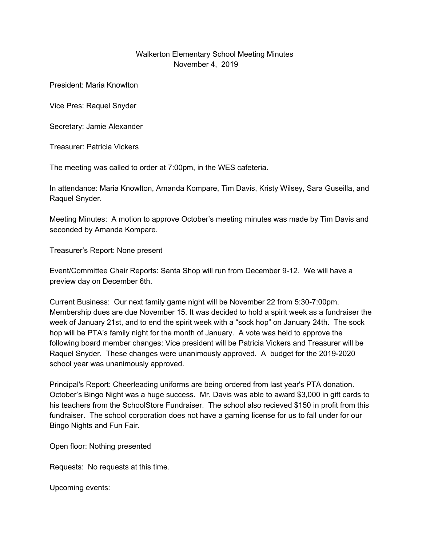## Walkerton Elementary School Meeting Minutes November 4, 2019

President: Maria Knowlton

Vice Pres: Raquel Snyder

Secretary: Jamie Alexander

Treasurer: Patricia Vickers

The meeting was called to order at 7:00pm, in the WES cafeteria.

In attendance: Maria Knowlton, Amanda Kompare, Tim Davis, Kristy Wilsey, Sara Guseilla, and Raquel Snyder.

Meeting Minutes: A motion to approve October's meeting minutes was made by Tim Davis and seconded by Amanda Kompare.

Treasurer's Report: None present

Event/Committee Chair Reports: Santa Shop will run from December 9-12. We will have a preview day on December 6th.

Current Business: Our next family game night will be November 22 from 5:30-7:00pm. Membership dues are due November 15. It was decided to hold a spirit week as a fundraiser the week of January 21st, and to end the spirit week with a "sock hop" on January 24th. The sock hop will be PTA's family night for the month of January. A vote was held to approve the following board member changes: Vice president will be Patricia Vickers and Treasurer will be Raquel Snyder. These changes were unanimously approved. A budget for the 2019-2020 school year was unanimously approved.

Principal's Report: Cheerleading uniforms are being ordered from last year's PTA donation. October's Bingo Night was a huge success. Mr. Davis was able to award \$3,000 in gift cards to his teachers from the SchoolStore Fundraiser. The school also recieved \$150 in profit from this fundraiser. The school corporation does not have a gaming license for us to fall under for our Bingo Nights and Fun Fair.

Open floor: Nothing presented

Requests: No requests at this time.

Upcoming events: